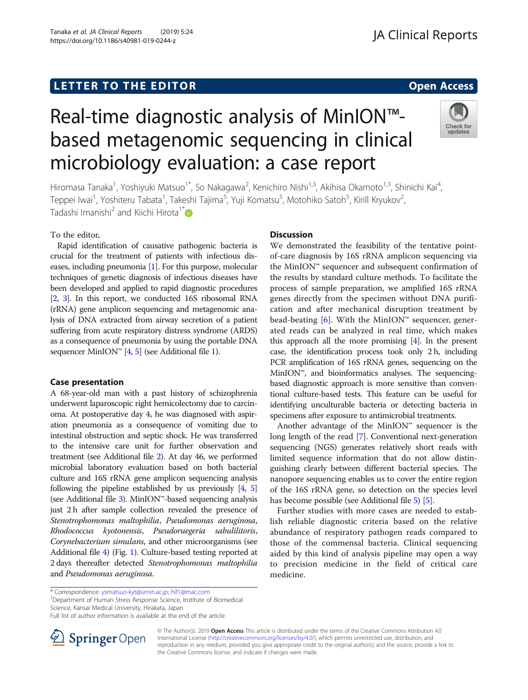## LETTER TO THE EDITOR **CONTROLL CONTROLLER TO THE EDITOR** CONTROLLER TO THE SAME ACCESS

# Real-time diagnostic analysis of MinION™ based metagenomic sequencing in clinical microbiology evaluation: a case report



Hiromasa Tanaka<sup>1</sup>, Yoshiyuki Matsuo<sup>1\*</sup>, So Nakagawa<sup>2</sup>, Kenichiro Nishi<sup>1,3</sup>, Akihisa Okamoto<sup>1,3</sup>, Shinichi Kai<sup>4</sup> , Teppei Iwai<sup>1</sup>, Yoshiteru Tabata<sup>1</sup>, Takeshi Tajima<sup>5</sup>, Yuji Komatsu<sup>5</sup>, Motohiko Satoh<sup>5</sup>, Kirill Kryukov<sup>2</sup> , Tadashi Imanishi<sup>2</sup> and Kiichi Hirota<sup>1\*</sup>

### To the editor,

Rapid identification of causative pathogenic bacteria is crucial for the treatment of patients with infectious diseases, including pneumonia [\[1](#page-1-0)]. For this purpose, molecular techniques of genetic diagnosis of infectious diseases have been developed and applied to rapid diagnostic procedures [[2](#page-1-0), [3\]](#page-1-0). In this report, we conducted 16S ribosomal RNA (rRNA) gene amplicon sequencing and metagenomic analysis of DNA extracted from airway secretion of a patient suffering from acute respiratory distress syndrome (ARDS) as a consequence of pneumonia by using the portable DNA sequencer MinION<sup>™</sup> [\[4,](#page-1-0) [5](#page-1-0)] (see Additional file [1](#page-1-0)).

#### Case presentation

A 68-year-old man with a past history of schizophrenia underwent laparoscopic right hemicolectomy due to carcinoma. At postoperative day 4, he was diagnosed with aspiration pneumonia as a consequence of vomiting due to intestinal obstruction and septic shock. He was transferred to the intensive care unit for further observation and treatment (see Additional file [2](#page-1-0)). At day 46, we performed microbial laboratory evaluation based on both bacterial culture and 16S rRNA gene amplicon sequencing analysis following the pipeline established by us previously [\[4](#page-1-0), [5](#page-1-0)] (see Additional file [3\)](#page-1-0). MinION<sup> $<sub>m</sub>$ -based sequencing analysis</sup></sub> just 2 h after sample collection revealed the presence of Stenotrophomonas maltophilia, Pseudomonas aeruginosa, Rhodococcus kyotonensis, Pseudoruegeria sabulilitoris, Corynebacterium simulans, and other microorganisms (see Additional file [4\)](#page-1-0) (Fig. [1](#page-1-0)). Culture-based testing reported at 2 days thereafter detected Stenotrophomonas maltophilia and Pseudomonas aeruginosa.

#### **Discussion**

We demonstrated the feasibility of the tentative pointof-care diagnosis by 16S rRNA amplicon sequencing via the MinION™ sequencer and subsequent confirmation of the results by standard culture methods. To facilitate the process of sample preparation, we amplified 16S rRNA genes directly from the specimen without DNA purification and after mechanical disruption treatment by bead-beating [\[6](#page-1-0)]. With the MinION<sup>™</sup> sequencer, generated reads can be analyzed in real time, which makes this approach all the more promising  $[4]$ . In the present case, the identification process took only 2 h, including PCR amplification of 16S rRNA genes, sequencing on the MinION™, and bioinformatics analyses. The sequencingbased diagnostic approach is more sensitive than conventional culture-based tests. This feature can be useful for identifying unculturable bacteria or detecting bacteria in specimens after exposure to antimicrobial treatments.

Another advantage of the MinION<sup>™</sup> sequencer is the long length of the read [\[7\]](#page-1-0). Conventional next-generation sequencing (NGS) generates relatively short reads with limited sequence information that do not allow distinguishing clearly between different bacterial species. The nanopore sequencing enables us to cover the entire region of the 16S rRNA gene, so detection on the species level has become possible (see Additional file [5](#page-1-0)) [\[5](#page-1-0)].

Further studies with more cases are needed to establish reliable diagnostic criteria based on the relative abundance of respiratory pathogen reads compared to those of the commensal bacteria. Clinical sequencing aided by this kind of analysis pipeline may open a way to precision medicine in the field of critical care medicine.

Full list of author information is available at the end of the article



© The Author(s). 2019 Open Access This article is distributed under the terms of the Creative Commons Attribution 4.0 International License ([http://creativecommons.org/licenses/by/4.0/\)](http://creativecommons.org/licenses/by/4.0/), which permits unrestricted use, distribution, and reproduction in any medium, provided you give appropriate credit to the original author(s) and the source, provide a link to the Creative Commons license, and indicate if changes were made.

<sup>\*</sup> Correspondence: [ysmatsuo-kyt@umin.ac.jp;](mailto:ysmatsuo-kyt@umin.ac.jp) [hif1@mac.com](mailto:hif1@mac.com) <sup>1</sup> <sup>1</sup>Department of Human Stress Response Science, Institute of Biomedical

Science, Kansai Medical University, Hirakata, Japan